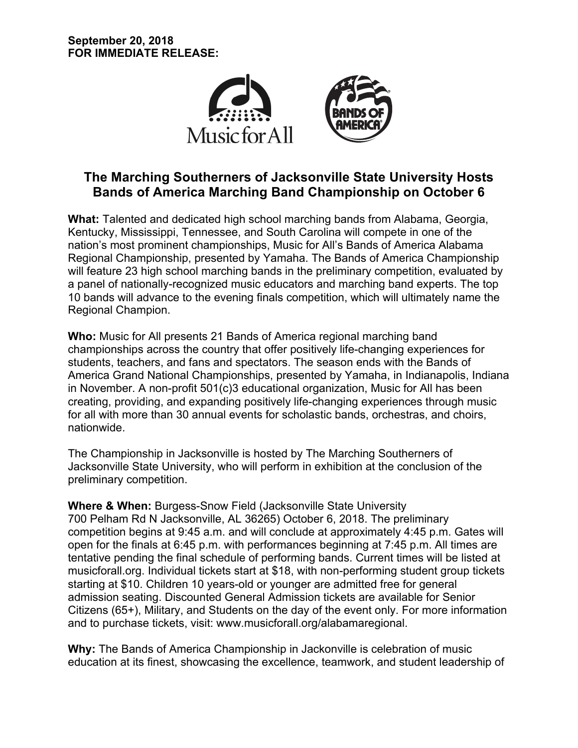

# **The Marching Southerners of Jacksonville State University Hosts Bands of America Marching Band Championship on October 6**

**What:** Talented and dedicated high school marching bands from Alabama, Georgia, Kentucky, Mississippi, Tennessee, and South Carolina will compete in one of the nation's most prominent championships, Music for All's Bands of America Alabama Regional Championship, presented by Yamaha. The Bands of America Championship will feature 23 high school marching bands in the preliminary competition, evaluated by a panel of nationally-recognized music educators and marching band experts. The top 10 bands will advance to the evening finals competition, which will ultimately name the Regional Champion.

**Who:** Music for All presents 21 Bands of America regional marching band championships across the country that offer positively life-changing experiences for students, teachers, and fans and spectators. The season ends with the Bands of America Grand National Championships, presented by Yamaha, in Indianapolis, Indiana in November. A non-profit 501(c)3 educational organization, Music for All has been creating, providing, and expanding positively life-changing experiences through music for all with more than 30 annual events for scholastic bands, orchestras, and choirs, nationwide.

The Championship in Jacksonville is hosted by The Marching Southerners of Jacksonville State University, who will perform in exhibition at the conclusion of the preliminary competition.

**Where & When:** Burgess-Snow Field (Jacksonville State University 700 Pelham Rd N Jacksonville, AL 36265) October 6, 2018. The preliminary competition begins at 9:45 a.m. and will conclude at approximately 4:45 p.m. Gates will open for the finals at 6:45 p.m. with performances beginning at 7:45 p.m. All times are tentative pending the final schedule of performing bands. Current times will be listed at musicforall.org. Individual tickets start at \$18, with non-performing student group tickets starting at \$10. Children 10 years-old or younger are admitted free for general admission seating. Discounted General Admission tickets are available for Senior Citizens (65+), Military, and Students on the day of the event only. For more information and to purchase tickets, visit: www.musicforall.org/alabamaregional.

**Why:** The Bands of America Championship in Jackonville is celebration of music education at its finest, showcasing the excellence, teamwork, and student leadership of